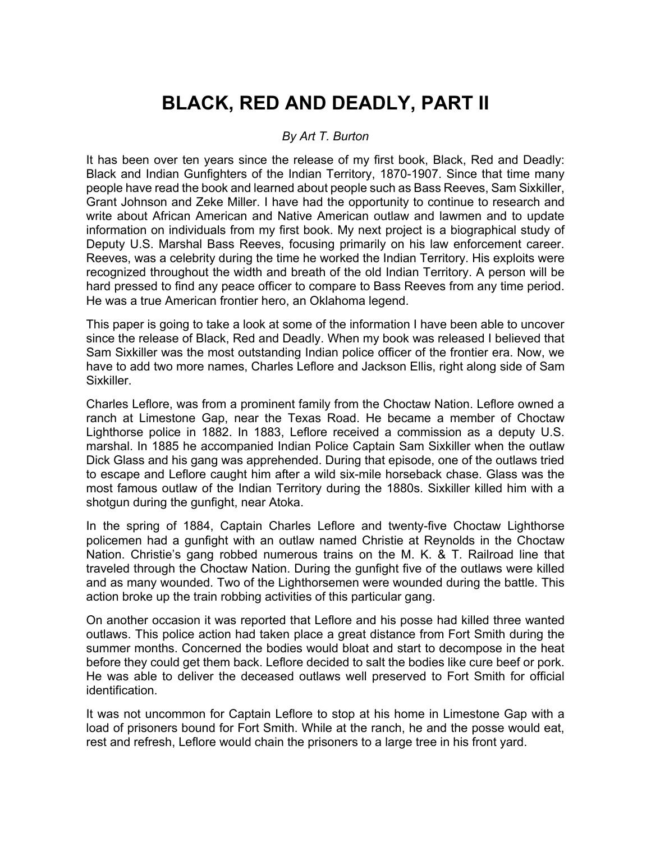# **BLACK, RED AND DEADLY, PART II**

## *By Art T. Burton*

It has been over ten years since the release of my first book, Black, Red and Deadly: Black and Indian Gunfighters of the Indian Territory, 1870-1907. Since that time many people have read the book and learned about people such as Bass Reeves, Sam Sixkiller, Grant Johnson and Zeke Miller. I have had the opportunity to continue to research and write about African American and Native American outlaw and lawmen and to update information on individuals from my first book. My next project is a biographical study of Deputy U.S. Marshal Bass Reeves, focusing primarily on his law enforcement career. Reeves, was a celebrity during the time he worked the Indian Territory. His exploits were recognized throughout the width and breath of the old Indian Territory. A person will be hard pressed to find any peace officer to compare to Bass Reeves from any time period. He was a true American frontier hero, an Oklahoma legend.

This paper is going to take a look at some of the information I have been able to uncover since the release of Black, Red and Deadly. When my book was released I believed that Sam Sixkiller was the most outstanding Indian police officer of the frontier era. Now, we have to add two more names, Charles Leflore and Jackson Ellis, right along side of Sam Sixkiller.

Charles Leflore, was from a prominent family from the Choctaw Nation. Leflore owned a ranch at Limestone Gap, near the Texas Road. He became a member of Choctaw Lighthorse police in 1882. In 1883, Leflore received a commission as a deputy U.S. marshal. In 1885 he accompanied Indian Police Captain Sam Sixkiller when the outlaw Dick Glass and his gang was apprehended. During that episode, one of the outlaws tried to escape and Leflore caught him after a wild six-mile horseback chase. Glass was the most famous outlaw of the Indian Territory during the 1880s. Sixkiller killed him with a shotgun during the gunfight, near Atoka.

In the spring of 1884, Captain Charles Leflore and twenty-five Choctaw Lighthorse policemen had a gunfight with an outlaw named Christie at Reynolds in the Choctaw Nation. Christie's gang robbed numerous trains on the M. K. & T. Railroad line that traveled through the Choctaw Nation. During the gunfight five of the outlaws were killed and as many wounded. Two of the Lighthorsemen were wounded during the battle. This action broke up the train robbing activities of this particular gang.

On another occasion it was reported that Leflore and his posse had killed three wanted outlaws. This police action had taken place a great distance from Fort Smith during the summer months. Concerned the bodies would bloat and start to decompose in the heat before they could get them back. Leflore decided to salt the bodies like cure beef or pork. He was able to deliver the deceased outlaws well preserved to Fort Smith for official identification.

It was not uncommon for Captain Leflore to stop at his home in Limestone Gap with a load of prisoners bound for Fort Smith. While at the ranch, he and the posse would eat, rest and refresh, Leflore would chain the prisoners to a large tree in his front yard.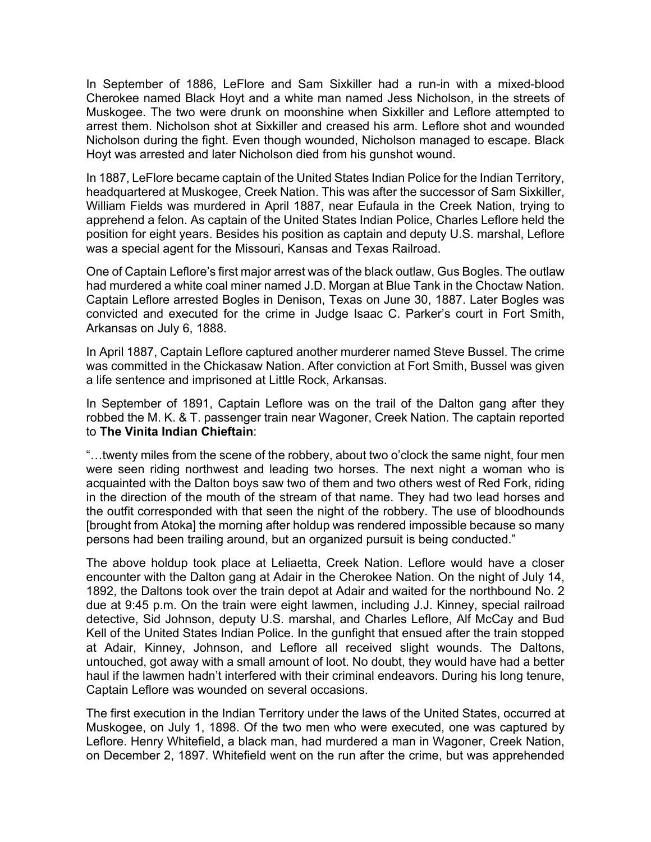In September of 1886, LeFlore and Sam Sixkiller had a run-in with a mixed-blood Cherokee named Black Hoyt and a white man named Jess Nicholson, in the streets of Muskogee. The two were drunk on moonshine when Sixkiller and Leflore attempted to arrest them. Nicholson shot at Sixkiller and creased his arm. Leflore shot and wounded Nicholson during the fight. Even though wounded, Nicholson managed to escape. Black Hoyt was arrested and later Nicholson died from his gunshot wound.

In 1887, LeFlore became captain of the United States Indian Police for the Indian Territory, headquartered at Muskogee, Creek Nation. This was after the successor of Sam Sixkiller, William Fields was murdered in April 1887, near Eufaula in the Creek Nation, trying to apprehend a felon. As captain of the United States Indian Police, Charles Leflore held the position for eight years. Besides his position as captain and deputy U.S. marshal, Leflore was a special agent for the Missouri, Kansas and Texas Railroad.

One of Captain Leflore's first major arrest was of the black outlaw, Gus Bogles. The outlaw had murdered a white coal miner named J.D. Morgan at Blue Tank in the Choctaw Nation. Captain Leflore arrested Bogles in Denison, Texas on June 30, 1887. Later Bogles was convicted and executed for the crime in Judge Isaac C. Parker's court in Fort Smith, Arkansas on July 6, 1888.

In April 1887, Captain Leflore captured another murderer named Steve Bussel. The crime was committed in the Chickasaw Nation. After conviction at Fort Smith, Bussel was given a life sentence and imprisoned at Little Rock, Arkansas.

In September of 1891, Captain Leflore was on the trail of the Dalton gang after they robbed the M. K. & T. passenger train near Wagoner, Creek Nation. The captain reported to **The Vinita Indian Chieftain**:

"…twenty miles from the scene of the robbery, about two o'clock the same night, four men were seen riding northwest and leading two horses. The next night a woman who is acquainted with the Dalton boys saw two of them and two others west of Red Fork, riding in the direction of the mouth of the stream of that name. They had two lead horses and the outfit corresponded with that seen the night of the robbery. The use of bloodhounds [brought from Atoka] the morning after holdup was rendered impossible because so many persons had been trailing around, but an organized pursuit is being conducted."

The above holdup took place at Leliaetta, Creek Nation. Leflore would have a closer encounter with the Dalton gang at Adair in the Cherokee Nation. On the night of July 14, 1892, the Daltons took over the train depot at Adair and waited for the northbound No. 2 due at 9:45 p.m. On the train were eight lawmen, including J.J. Kinney, special railroad detective, Sid Johnson, deputy U.S. marshal, and Charles Leflore, Alf McCay and Bud Kell of the United States Indian Police. In the gunfight that ensued after the train stopped at Adair, Kinney, Johnson, and Leflore all received slight wounds. The Daltons, untouched, got away with a small amount of loot. No doubt, they would have had a better haul if the lawmen hadn't interfered with their criminal endeavors. During his long tenure, Captain Leflore was wounded on several occasions.

The first execution in the Indian Territory under the laws of the United States, occurred at Muskogee, on July 1, 1898. Of the two men who were executed, one was captured by Leflore. Henry Whitefield, a black man, had murdered a man in Wagoner, Creek Nation, on December 2, 1897. Whitefield went on the run after the crime, but was apprehended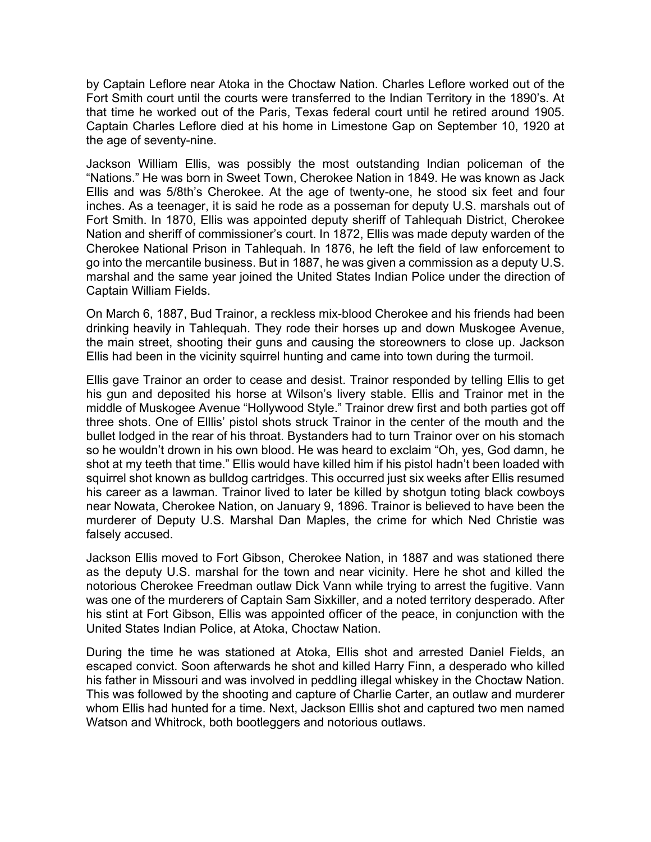by Captain Leflore near Atoka in the Choctaw Nation. Charles Leflore worked out of the Fort Smith court until the courts were transferred to the Indian Territory in the 1890's. At that time he worked out of the Paris, Texas federal court until he retired around 1905. Captain Charles Leflore died at his home in Limestone Gap on September 10, 1920 at the age of seventy-nine.

Jackson William Ellis, was possibly the most outstanding Indian policeman of the "Nations." He was born in Sweet Town, Cherokee Nation in 1849. He was known as Jack Ellis and was 5/8th's Cherokee. At the age of twenty-one, he stood six feet and four inches. As a teenager, it is said he rode as a posseman for deputy U.S. marshals out of Fort Smith. In 1870, Ellis was appointed deputy sheriff of Tahlequah District, Cherokee Nation and sheriff of commissioner's court. In 1872, Ellis was made deputy warden of the Cherokee National Prison in Tahlequah. In 1876, he left the field of law enforcement to go into the mercantile business. But in 1887, he was given a commission as a deputy U.S. marshal and the same year joined the United States Indian Police under the direction of Captain William Fields.

On March 6, 1887, Bud Trainor, a reckless mix-blood Cherokee and his friends had been drinking heavily in Tahlequah. They rode their horses up and down Muskogee Avenue, the main street, shooting their guns and causing the storeowners to close up. Jackson Ellis had been in the vicinity squirrel hunting and came into town during the turmoil.

Ellis gave Trainor an order to cease and desist. Trainor responded by telling Ellis to get his gun and deposited his horse at Wilson's livery stable. Ellis and Trainor met in the middle of Muskogee Avenue "Hollywood Style." Trainor drew first and both parties got off three shots. One of Elllis' pistol shots struck Trainor in the center of the mouth and the bullet lodged in the rear of his throat. Bystanders had to turn Trainor over on his stomach so he wouldn't drown in his own blood. He was heard to exclaim "Oh, yes, God damn, he shot at my teeth that time." Ellis would have killed him if his pistol hadn't been loaded with squirrel shot known as bulldog cartridges. This occurred just six weeks after Ellis resumed his career as a lawman. Trainor lived to later be killed by shotgun toting black cowboys near Nowata, Cherokee Nation, on January 9, 1896. Trainor is believed to have been the murderer of Deputy U.S. Marshal Dan Maples, the crime for which Ned Christie was falsely accused.

Jackson Ellis moved to Fort Gibson, Cherokee Nation, in 1887 and was stationed there as the deputy U.S. marshal for the town and near vicinity. Here he shot and killed the notorious Cherokee Freedman outlaw Dick Vann while trying to arrest the fugitive. Vann was one of the murderers of Captain Sam Sixkiller, and a noted territory desperado. After his stint at Fort Gibson, Ellis was appointed officer of the peace, in conjunction with the United States Indian Police, at Atoka, Choctaw Nation.

During the time he was stationed at Atoka, Ellis shot and arrested Daniel Fields, an escaped convict. Soon afterwards he shot and killed Harry Finn, a desperado who killed his father in Missouri and was involved in peddling illegal whiskey in the Choctaw Nation. This was followed by the shooting and capture of Charlie Carter, an outlaw and murderer whom Ellis had hunted for a time. Next, Jackson Elllis shot and captured two men named Watson and Whitrock, both bootleggers and notorious outlaws.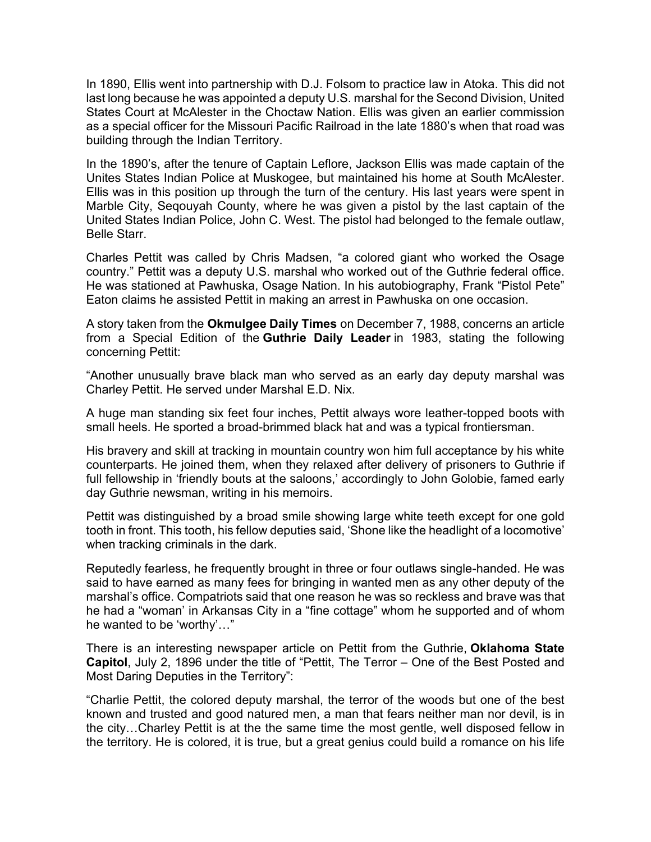In 1890, Ellis went into partnership with D.J. Folsom to practice law in Atoka. This did not last long because he was appointed a deputy U.S. marshal for the Second Division, United States Court at McAlester in the Choctaw Nation. Ellis was given an earlier commission as a special officer for the Missouri Pacific Railroad in the late 1880's when that road was building through the Indian Territory.

In the 1890's, after the tenure of Captain Leflore, Jackson Ellis was made captain of the Unites States Indian Police at Muskogee, but maintained his home at South McAlester. Ellis was in this position up through the turn of the century. His last years were spent in Marble City, Seqouyah County, where he was given a pistol by the last captain of the United States Indian Police, John C. West. The pistol had belonged to the female outlaw, Belle Starr.

Charles Pettit was called by Chris Madsen, "a colored giant who worked the Osage country." Pettit was a deputy U.S. marshal who worked out of the Guthrie federal office. He was stationed at Pawhuska, Osage Nation. In his autobiography, Frank "Pistol Pete" Eaton claims he assisted Pettit in making an arrest in Pawhuska on one occasion.

A story taken from the **Okmulgee Daily Times** on December 7, 1988, concerns an article from a Special Edition of the **Guthrie Daily Leader** in 1983, stating the following concerning Pettit:

"Another unusually brave black man who served as an early day deputy marshal was Charley Pettit. He served under Marshal E.D. Nix.

A huge man standing six feet four inches, Pettit always wore leather-topped boots with small heels. He sported a broad-brimmed black hat and was a typical frontiersman.

His bravery and skill at tracking in mountain country won him full acceptance by his white counterparts. He joined them, when they relaxed after delivery of prisoners to Guthrie if full fellowship in 'friendly bouts at the saloons,' accordingly to John Golobie, famed early day Guthrie newsman, writing in his memoirs.

Pettit was distinguished by a broad smile showing large white teeth except for one gold tooth in front. This tooth, his fellow deputies said, 'Shone like the headlight of a locomotive' when tracking criminals in the dark.

Reputedly fearless, he frequently brought in three or four outlaws single-handed. He was said to have earned as many fees for bringing in wanted men as any other deputy of the marshal's office. Compatriots said that one reason he was so reckless and brave was that he had a "woman' in Arkansas City in a "fine cottage" whom he supported and of whom he wanted to be 'worthy'…"

There is an interesting newspaper article on Pettit from the Guthrie, **Oklahoma State Capitol**, July 2, 1896 under the title of "Pettit, The Terror – One of the Best Posted and Most Daring Deputies in the Territory":

"Charlie Pettit, the colored deputy marshal, the terror of the woods but one of the best known and trusted and good natured men, a man that fears neither man nor devil, is in the city…Charley Pettit is at the the same time the most gentle, well disposed fellow in the territory. He is colored, it is true, but a great genius could build a romance on his life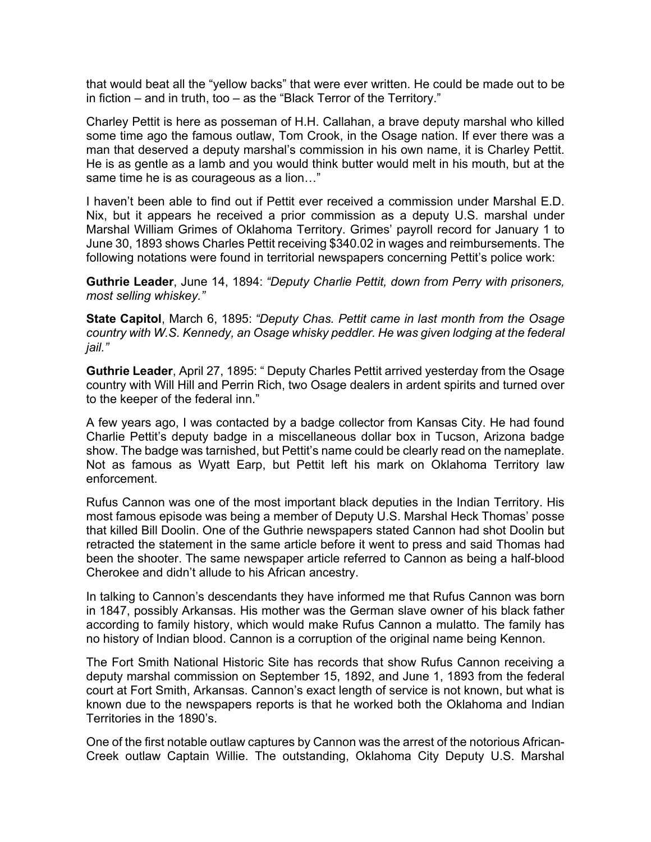that would beat all the "yellow backs" that were ever written. He could be made out to be in fiction – and in truth, too – as the "Black Terror of the Territory."

Charley Pettit is here as posseman of H.H. Callahan, a brave deputy marshal who killed some time ago the famous outlaw, Tom Crook, in the Osage nation. If ever there was a man that deserved a deputy marshal's commission in his own name, it is Charley Pettit. He is as gentle as a lamb and you would think butter would melt in his mouth, but at the same time he is as courageous as a lion…"

I haven't been able to find out if Pettit ever received a commission under Marshal E.D. Nix, but it appears he received a prior commission as a deputy U.S. marshal under Marshal William Grimes of Oklahoma Territory. Grimes' payroll record for January 1 to June 30, 1893 shows Charles Pettit receiving \$340.02 in wages and reimbursements. The following notations were found in territorial newspapers concerning Pettit's police work:

**Guthrie Leader**, June 14, 1894: *"Deputy Charlie Pettit, down from Perry with prisoners, most selling whiskey."*

**State Capitol**, March 6, 1895: *"Deputy Chas. Pettit came in last month from the Osage country with W.S. Kennedy, an Osage whisky peddler. He was given lodging at the federal jail."*

**Guthrie Leader**, April 27, 1895: " Deputy Charles Pettit arrived yesterday from the Osage country with Will Hill and Perrin Rich, two Osage dealers in ardent spirits and turned over to the keeper of the federal inn."

A few years ago, I was contacted by a badge collector from Kansas City. He had found Charlie Pettit's deputy badge in a miscellaneous dollar box in Tucson, Arizona badge show. The badge was tarnished, but Pettit's name could be clearly read on the nameplate. Not as famous as Wyatt Earp, but Pettit left his mark on Oklahoma Territory law enforcement.

Rufus Cannon was one of the most important black deputies in the Indian Territory. His most famous episode was being a member of Deputy U.S. Marshal Heck Thomas' posse that killed Bill Doolin. One of the Guthrie newspapers stated Cannon had shot Doolin but retracted the statement in the same article before it went to press and said Thomas had been the shooter. The same newspaper article referred to Cannon as being a half-blood Cherokee and didn't allude to his African ancestry.

In talking to Cannon's descendants they have informed me that Rufus Cannon was born in 1847, possibly Arkansas. His mother was the German slave owner of his black father according to family history, which would make Rufus Cannon a mulatto. The family has no history of Indian blood. Cannon is a corruption of the original name being Kennon.

The Fort Smith National Historic Site has records that show Rufus Cannon receiving a deputy marshal commission on September 15, 1892, and June 1, 1893 from the federal court at Fort Smith, Arkansas. Cannon's exact length of service is not known, but what is known due to the newspapers reports is that he worked both the Oklahoma and Indian Territories in the 1890's.

One of the first notable outlaw captures by Cannon was the arrest of the notorious African-Creek outlaw Captain Willie. The outstanding, Oklahoma City Deputy U.S. Marshal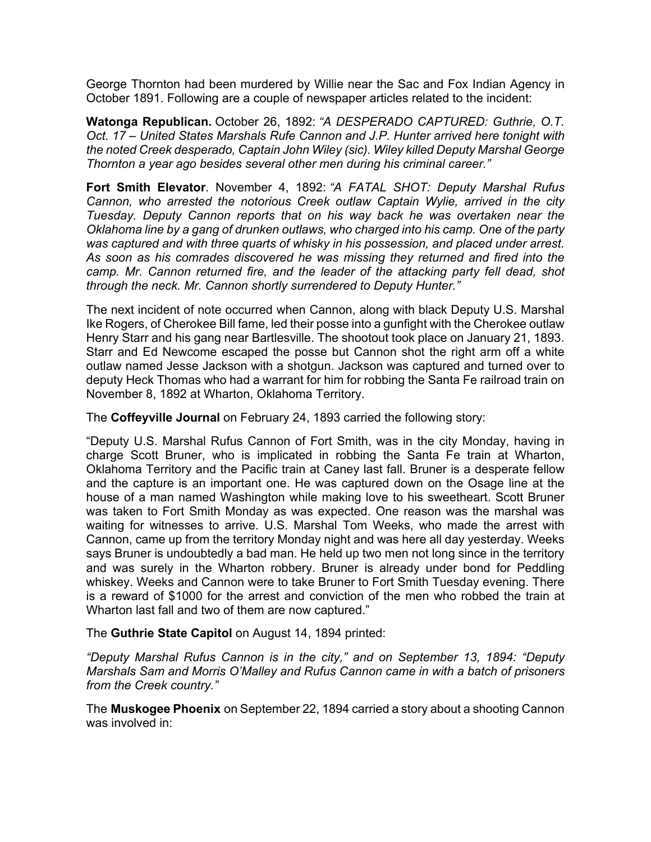George Thornton had been murdered by Willie near the Sac and Fox Indian Agency in October 1891. Following are a couple of newspaper articles related to the incident:

**Watonga Republican.** October 26, 1892: *"A DESPERADO CAPTURED: Guthrie, O.T. Oct. 17 – United States Marshals Rufe Cannon and J.P. Hunter arrived here tonight with the noted Creek desperado, Captain John Wiley (sic). Wiley killed Deputy Marshal George Thornton a year ago besides several other men during his criminal career."*

**Fort Smith Elevator**. November 4, 1892: *"A FATAL SHOT: Deputy Marshal Rufus Cannon, who arrested the notorious Creek outlaw Captain Wylie, arrived in the city Tuesday. Deputy Cannon reports that on his way back he was overtaken near the Oklahoma line by a gang of drunken outlaws, who charged into his camp. One of the party was captured and with three quarts of whisky in his possession, and placed under arrest. As soon as his comrades discovered he was missing they returned and fired into the*  camp. Mr. Cannon returned fire, and the leader of the attacking party fell dead, shot *through the neck. Mr. Cannon shortly surrendered to Deputy Hunter."*

The next incident of note occurred when Cannon, along with black Deputy U.S. Marshal Ike Rogers, of Cherokee Bill fame, led their posse into a gunfight with the Cherokee outlaw Henry Starr and his gang near Bartlesville. The shootout took place on January 21, 1893. Starr and Ed Newcome escaped the posse but Cannon shot the right arm off a white outlaw named Jesse Jackson with a shotgun. Jackson was captured and turned over to deputy Heck Thomas who had a warrant for him for robbing the Santa Fe railroad train on November 8, 1892 at Wharton, Oklahoma Territory.

The **Coffeyville Journal** on February 24, 1893 carried the following story:

"Deputy U.S. Marshal Rufus Cannon of Fort Smith, was in the city Monday, having in charge Scott Bruner, who is implicated in robbing the Santa Fe train at Wharton, Oklahoma Territory and the Pacific train at Caney last fall. Bruner is a desperate fellow and the capture is an important one. He was captured down on the Osage line at the house of a man named Washington while making love to his sweetheart. Scott Bruner was taken to Fort Smith Monday as was expected. One reason was the marshal was waiting for witnesses to arrive. U.S. Marshal Tom Weeks, who made the arrest with Cannon, came up from the territory Monday night and was here all day yesterday. Weeks says Bruner is undoubtedly a bad man. He held up two men not long since in the territory and was surely in the Wharton robbery. Bruner is already under bond for Peddling whiskey. Weeks and Cannon were to take Bruner to Fort Smith Tuesday evening. There is a reward of \$1000 for the arrest and conviction of the men who robbed the train at Wharton last fall and two of them are now captured."

### The **Guthrie State Capitol** on August 14, 1894 printed:

*"Deputy Marshal Rufus Cannon is in the city," and on September 13, 1894: "Deputy Marshals Sam and Morris O'Malley and Rufus Cannon came in with a batch of prisoners from the Creek country."*

The **Muskogee Phoenix** on September 22, 1894 carried a story about a shooting Cannon was involved in: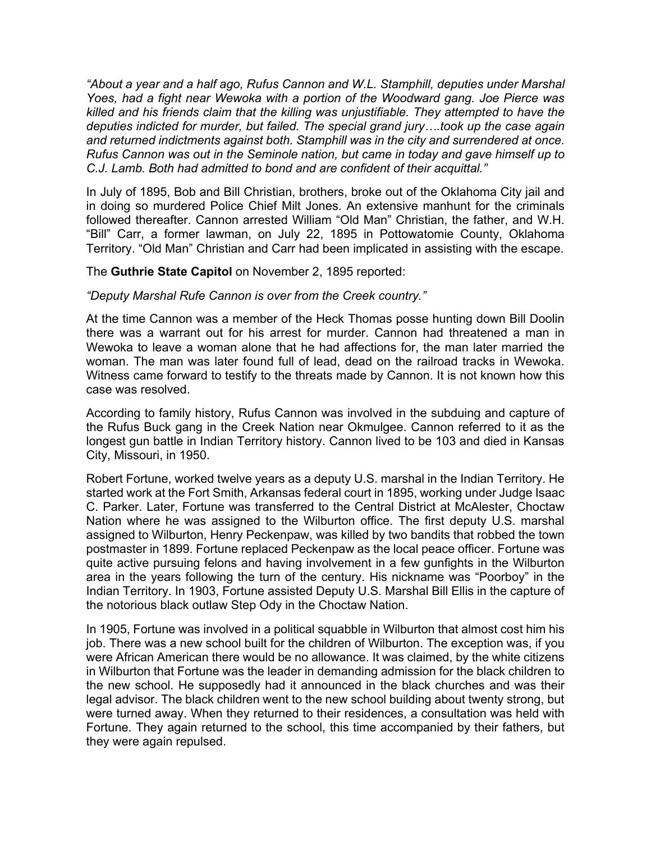*"About a year and a half ago, Rufus Cannon and W.L. Stamphill, deputies under Marshal Yoes, had a fight near Wewoka with a portion of the Woodward gang. Joe Pierce was killed and his friends claim that the killing was unjustifiable. They attempted to have the deputies indicted for murder, but failed. The special grand jury….took up the case again and returned indictments against both. Stamphill was in the city and surrendered at once. Rufus Cannon was out in the Seminole nation, but came in today and gave himself up to C.J. Lamb. Both had admitted to bond and are confident of their acquittal."*

In July of 1895, Bob and Bill Christian, brothers, broke out of the Oklahoma City jail and in doing so murdered Police Chief Milt Jones. An extensive manhunt for the criminals followed thereafter. Cannon arrested William "Old Man" Christian, the father, and W.H. "Bill" Carr, a former lawman, on July 22, 1895 in Pottowatomie County, Oklahoma Territory. "Old Man" Christian and Carr had been implicated in assisting with the escape.

### The **Guthrie State Capitol** on November 2, 1895 reported:

#### *"Deputy Marshal Rufe Cannon is over from the Creek country."*

At the time Cannon was a member of the Heck Thomas posse hunting down Bill Doolin there was a warrant out for his arrest for murder. Cannon had threatened a man in Wewoka to leave a woman alone that he had affections for, the man later married the woman. The man was later found full of lead, dead on the railroad tracks in Wewoka. Witness came forward to testify to the threats made by Cannon. It is not known how this case was resolved.

According to family history, Rufus Cannon was involved in the subduing and capture of the Rufus Buck gang in the Creek Nation near Okmulgee. Cannon referred to it as the longest gun battle in Indian Territory history. Cannon lived to be 103 and died in Kansas City, Missouri, in 1950.

Robert Fortune, worked twelve years as a deputy U.S. marshal in the Indian Territory. He started work at the Fort Smith, Arkansas federal court in 1895, working under Judge Isaac C. Parker. Later, Fortune was transferred to the Central District at McAlester, Choctaw Nation where he was assigned to the Wilburton office. The first deputy U.S. marshal assigned to Wilburton, Henry Peckenpaw, was killed by two bandits that robbed the town postmaster in 1899. Fortune replaced Peckenpaw as the local peace officer. Fortune was quite active pursuing felons and having involvement in a few gunfights in the Wilburton area in the years following the turn of the century. His nickname was "Poorboy" in the Indian Territory. In 1903, Fortune assisted Deputy U.S. Marshal Bill Ellis in the capture of the notorious black outlaw Step Ody in the Choctaw Nation.

In 1905, Fortune was involved in a political squabble in Wilburton that almost cost him his job. There was a new school built for the children of Wilburton. The exception was, if you were African American there would be no allowance. It was claimed, by the white citizens in Wilburton that Fortune was the leader in demanding admission for the black children to the new school. He supposedly had it announced in the black churches and was their legal advisor. The black children went to the new school building about twenty strong, but were turned away. When they returned to their residences, a consultation was held with Fortune. They again returned to the school, this time accompanied by their fathers, but they were again repulsed.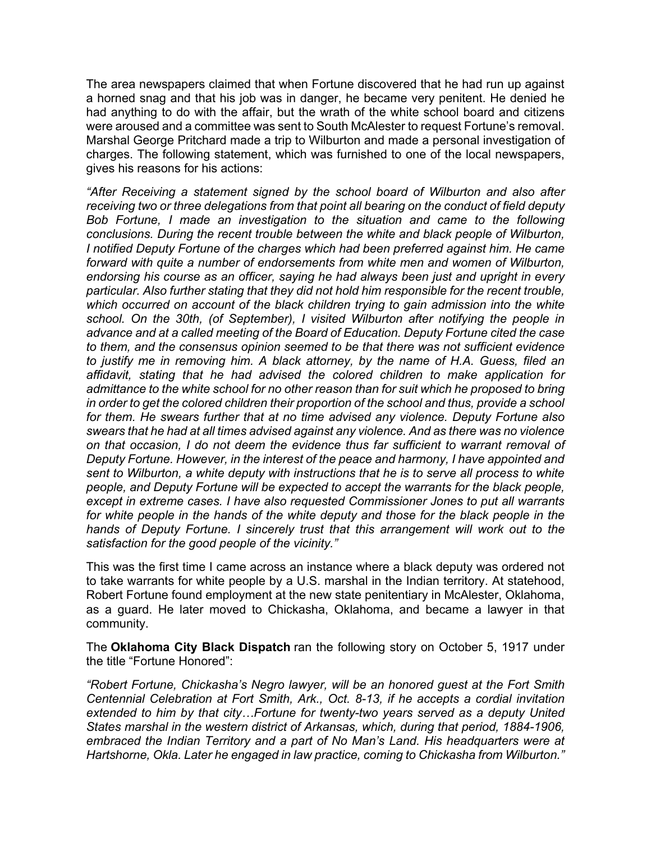The area newspapers claimed that when Fortune discovered that he had run up against a horned snag and that his job was in danger, he became very penitent. He denied he had anything to do with the affair, but the wrath of the white school board and citizens were aroused and a committee was sent to South McAlester to request Fortune's removal. Marshal George Pritchard made a trip to Wilburton and made a personal investigation of charges. The following statement, which was furnished to one of the local newspapers, gives his reasons for his actions:

*"After Receiving a statement signed by the school board of Wilburton and also after receiving two or three delegations from that point all bearing on the conduct of field deputy Bob Fortune, I made an investigation to the situation and came to the following conclusions. During the recent trouble between the white and black people of Wilburton, I notified Deputy Fortune of the charges which had been preferred against him. He came forward with quite a number of endorsements from white men and women of Wilburton, endorsing his course as an officer, saying he had always been just and upright in every particular. Also further stating that they did not hold him responsible for the recent trouble,*  which occurred on account of the black children trying to gain admission into the white *school. On the 30th, (of September), I visited Wilburton after notifying the people in advance and at a called meeting of the Board of Education. Deputy Fortune cited the case to them, and the consensus opinion seemed to be that there was not sufficient evidence to justify me in removing him. A black attorney, by the name of H.A. Guess, filed an affidavit, stating that he had advised the colored children to make application for admittance to the white school for no other reason than for suit which he proposed to bring in order to get the colored children their proportion of the school and thus, provide a school for them. He swears further that at no time advised any violence. Deputy Fortune also swears that he had at all times advised against any violence. And as there was no violence on that occasion, I do not deem the evidence thus far sufficient to warrant removal of Deputy Fortune. However, in the interest of the peace and harmony, I have appointed and sent to Wilburton, a white deputy with instructions that he is to serve all process to white people, and Deputy Fortune will be expected to accept the warrants for the black people, except in extreme cases. I have also requested Commissioner Jones to put all warrants*  for white people in the hands of the white deputy and those for the black people in the *hands of Deputy Fortune. I sincerely trust that this arrangement will work out to the satisfaction for the good people of the vicinity."*

This was the first time I came across an instance where a black deputy was ordered not to take warrants for white people by a U.S. marshal in the Indian territory. At statehood, Robert Fortune found employment at the new state penitentiary in McAlester, Oklahoma, as a guard. He later moved to Chickasha, Oklahoma, and became a lawyer in that community.

The **Oklahoma City Black Dispatch** ran the following story on October 5, 1917 under the title "Fortune Honored":

*"Robert Fortune, Chickasha's Negro lawyer, will be an honored guest at the Fort Smith Centennial Celebration at Fort Smith, Ark., Oct. 8-13, if he accepts a cordial invitation*  extended to him by that city...Fortune for twenty-two years served as a deputy United *States marshal in the western district of Arkansas, which, during that period, 1884-1906,*  embraced the Indian Territory and a part of No Man's Land. His headquarters were at *Hartshorne, Okla. Later he engaged in law practice, coming to Chickasha from Wilburton."*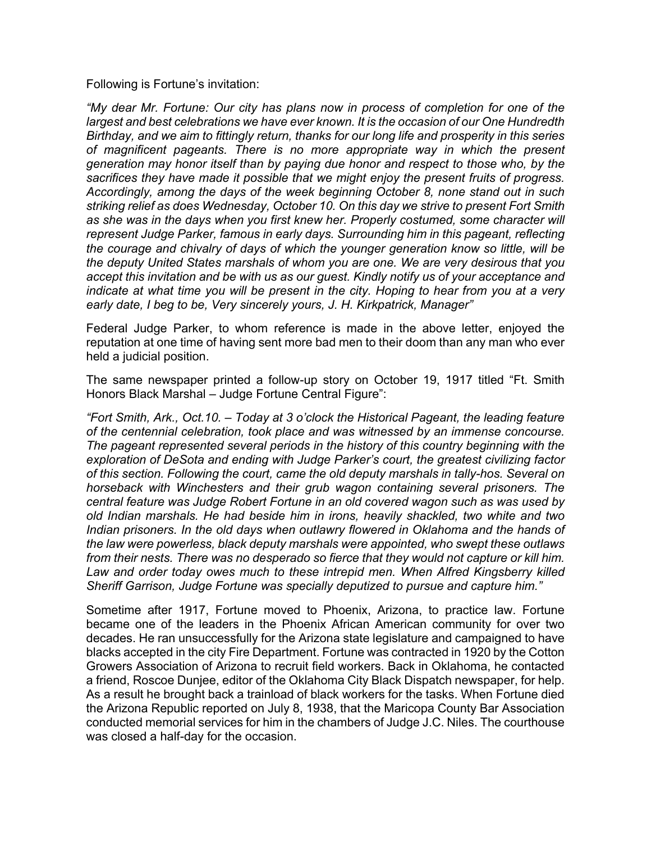Following is Fortune's invitation:

*"My dear Mr. Fortune: Our city has plans now in process of completion for one of the largest and best celebrations we have ever known. It is the occasion of our One Hundredth Birthday, and we aim to fittingly return, thanks for our long life and prosperity in this series of magnificent pageants. There is no more appropriate way in which the present generation may honor itself than by paying due honor and respect to those who, by the sacrifices they have made it possible that we might enjoy the present fruits of progress. Accordingly, among the days of the week beginning October 8, none stand out in such striking relief as does Wednesday, October 10. On this day we strive to present Fort Smith*  as she was in the days when you first knew her. Properly costumed, some character will *represent Judge Parker, famous in early days. Surrounding him in this pageant, reflecting the courage and chivalry of days of which the younger generation know so little, will be the deputy United States marshals of whom you are one. We are very desirous that you accept this invitation and be with us as our guest. Kindly notify us of your acceptance and indicate at what time you will be present in the city. Hoping to hear from you at a very early date, I beg to be, Very sincerely yours, J. H. Kirkpatrick, Manager"*

Federal Judge Parker, to whom reference is made in the above letter, enjoyed the reputation at one time of having sent more bad men to their doom than any man who ever held a judicial position.

The same newspaper printed a follow-up story on October 19, 1917 titled "Ft. Smith Honors Black Marshal – Judge Fortune Central Figure":

*"Fort Smith, Ark., Oct.10. – Today at 3 o'clock the Historical Pageant, the leading feature of the centennial celebration, took place and was witnessed by an immense concourse. The pageant represented several periods in the history of this country beginning with the exploration of DeSota and ending with Judge Parker's court, the greatest civilizing factor of this section. Following the court, came the old deputy marshals in tally-hos. Several on horseback with Winchesters and their grub wagon containing several prisoners. The central feature was Judge Robert Fortune in an old covered wagon such as was used by old Indian marshals. He had beside him in irons, heavily shackled, two white and two Indian prisoners. In the old days when outlawry flowered in Oklahoma and the hands of the law were powerless, black deputy marshals were appointed, who swept these outlaws from their nests. There was no desperado so fierce that they would not capture or kill him. Law and order today owes much to these intrepid men. When Alfred Kingsberry killed Sheriff Garrison, Judge Fortune was specially deputized to pursue and capture him."*

Sometime after 1917, Fortune moved to Phoenix, Arizona, to practice law. Fortune became one of the leaders in the Phoenix African American community for over two decades. He ran unsuccessfully for the Arizona state legislature and campaigned to have blacks accepted in the city Fire Department. Fortune was contracted in 1920 by the Cotton Growers Association of Arizona to recruit field workers. Back in Oklahoma, he contacted a friend, Roscoe Dunjee, editor of the Oklahoma City Black Dispatch newspaper, for help. As a result he brought back a trainload of black workers for the tasks. When Fortune died the Arizona Republic reported on July 8, 1938, that the Maricopa County Bar Association conducted memorial services for him in the chambers of Judge J.C. Niles. The courthouse was closed a half-day for the occasion.